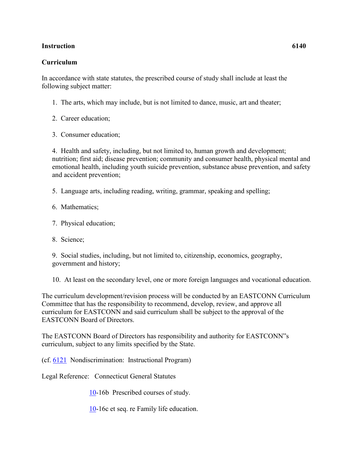## **Instruction 6140**

## **Curriculum**

In accordance with state statutes, the prescribed course of study shall include at least the following subject matter:

- 1. The arts, which may include, but is not limited to dance, music, art and theater;
- 2. Career education;
- 3. Consumer education;

4. Health and safety, including, but not limited to, human growth and development; nutrition; first aid; disease prevention; community and consumer health, physical mental and emotional health, including youth suicide prevention, substance abuse prevention, and safety and accident prevention;

5. Language arts, including reading, writing, grammar, speaking and spelling;

- 6. Mathematics;
- 7. Physical education;
- 8. Science;

9. Social studies, including, but not limited to, citizenship, economics, geography, government and history;

10. At least on the secondary level, one or more foreign languages and vocational education.

The curriculum development/revision process will be conducted by an EASTCONN Curriculum Committee that has the responsibility to recommend, develop, review, and approve all curriculum for EASTCONN and said curriculum shall be subject to the approval of the EASTCONN Board of Directors.

The EASTCONN Board of Directors has responsibility and authority for EASTCONN"s curriculum, subject to any limits specified by the State.

(cf. [6121](http://z2policy.cabe.org/cabe/DocViewer.jsp?docid=369&z2collection=core#JD_6121) Nondiscrimination: Instructional Program)

Legal Reference: Connecticut General Statutes

[10-](http://www.cga.ct.gov/2011/pub/Title10.htm)16b Prescribed courses of study.

[10-](http://www.cga.ct.gov/2011/pub/Title10.htm)16c et seq. re Family life education.